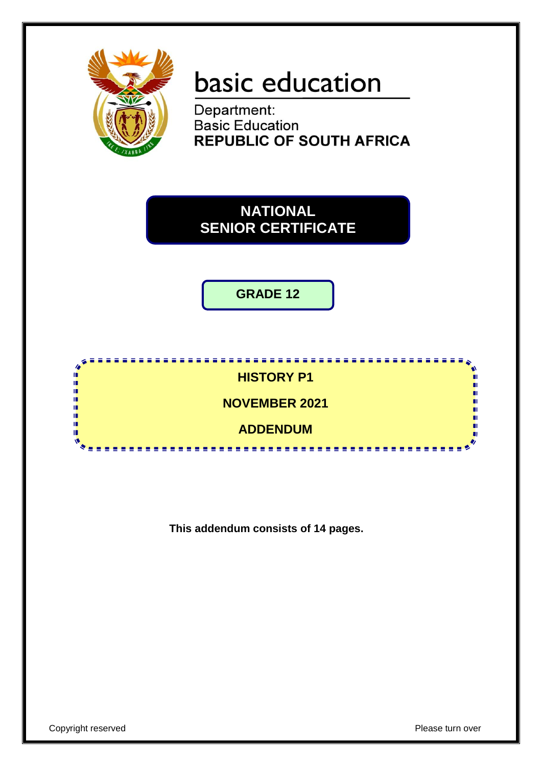

# basic education

Department:<br>Basic Education **REPUBLIC OF SOUTH AFRICA** 

# **NATIONAL SENIOR CERTIFICATE**

**GRADE 12**



**This addendum consists of 14 pages.**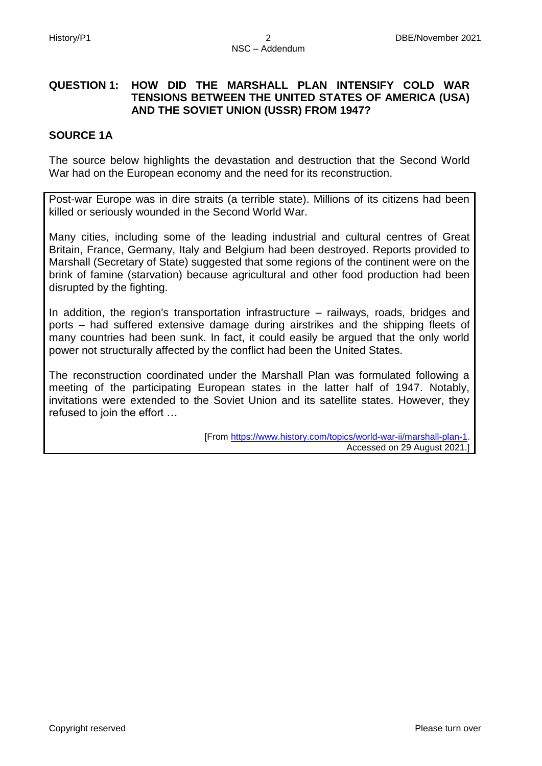### **QUESTION 1: HOW DID THE MARSHALL PLAN INTENSIFY COLD WAR TENSIONS BETWEEN THE UNITED STATES OF AMERICA (USA) AND THE SOVIET UNION (USSR) FROM 1947?**

#### **SOURCE 1A**

The source below highlights the devastation and destruction that the Second World War had on the European economy and the need for its reconstruction.

Post-war Europe was in dire straits (a terrible state). Millions of its citizens had been killed or seriously wounded in the Second World War.

Many cities, including some of the leading industrial and cultural centres of Great Britain, France, Germany, Italy and Belgium had been destroyed. Reports provided to Marshall (Secretary of State) suggested that some regions of the continent were on the brink of famine (starvation) because agricultural and other food production had been disrupted by the fighting.

In addition, the region's transportation infrastructure – railways, roads, bridges and ports – had suffered extensive damage during airstrikes and the shipping fleets of many countries had been sunk. In fact, it could easily be argued that the only world power not structurally affected by the conflict had been the United States.

The reconstruction coordinated under the Marshall Plan was formulated following a meeting of the participating European states in the latter half of 1947. Notably, invitations were extended to the Soviet Union and its satellite states. However, they refused to join the effort …

> [From [https://www.history.com/topics/world-war-ii/marshall-plan-1.](https://www.history.com/topics/world-war-ii/marshall-plan-1.%20%20Accessed)  [Accessed](https://www.history.com/topics/world-war-ii/marshall-plan-1.%20%20Accessed) on 29 August 2021.]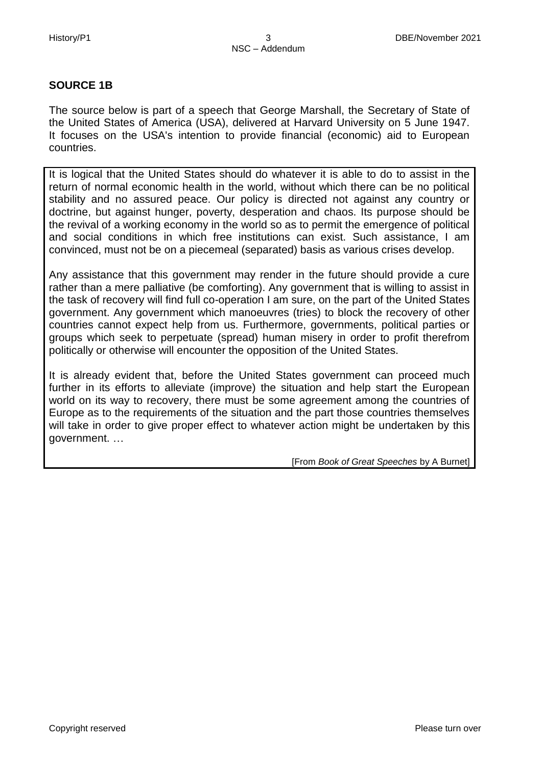#### **SOURCE 1B**

The source below is part of a speech that George Marshall, the Secretary of State of the United States of America (USA), delivered at Harvard University on 5 June 1947. It focuses on the USA's intention to provide financial (economic) aid to European countries.

It is logical that the United States should do whatever it is able to do to assist in the return of normal economic health in the world, without which there can be no political stability and no assured peace. Our policy is directed not against any country or doctrine, but against hunger, poverty, desperation and chaos. Its purpose should be the revival of a working economy in the world so as to permit the emergence of political and social conditions in which free institutions can exist. Such assistance, I am convinced, must not be on a piecemeal (separated) basis as various crises develop.

Any assistance that this government may render in the future should provide a cure rather than a mere palliative (be comforting). Any government that is willing to assist in the task of recovery will find full co-operation I am sure, on the part of the United States government. Any government which manoeuvres (tries) to block the recovery of other countries cannot expect help from us. Furthermore, governments, political parties or groups which seek to perpetuate (spread) human misery in order to profit therefrom politically or otherwise will encounter the opposition of the United States.

It is already evident that, before the United States government can proceed much further in its efforts to alleviate (improve) the situation and help start the European world on its way to recovery, there must be some agreement among the countries of Europe as to the requirements of the situation and the part those countries themselves will take in order to give proper effect to whatever action might be undertaken by this government. …

[From *Book of Great Speeches* by A Burnet]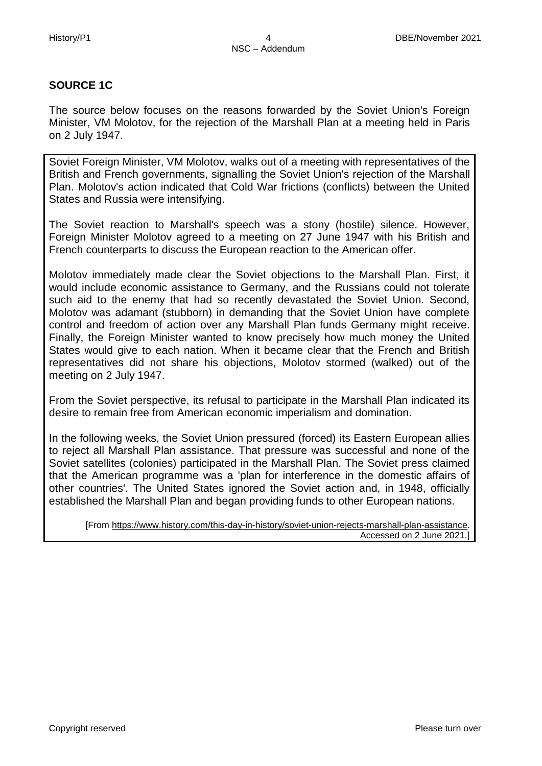#### **SOURCE 1C**

The source below focuses on the reasons forwarded by the Soviet Union's Foreign Minister, VM Molotov, for the rejection of the Marshall Plan at a meeting held in Paris on 2 July 1947.

Soviet Foreign Minister, VM Molotov, walks out of a meeting with representatives of the British and French governments, signalling the Soviet Union's rejection of the Marshall Plan. Molotov's action indicated that Cold War frictions (conflicts) between the United States and Russia were intensifying.

The Soviet reaction to Marshall's speech was a stony (hostile) silence. However, Foreign Minister Molotov agreed to a meeting on 27 June 1947 with his British and French counterparts to discuss the European reaction to the American offer.

Molotov immediately made clear the Soviet objections to the Marshall Plan. First, it would include economic assistance to Germany, and the Russians could not tolerate such aid to the enemy that had so recently devastated the Soviet Union. Second, Molotov was adamant (stubborn) in demanding that the Soviet Union have complete control and freedom of action over any Marshall Plan funds Germany might receive. Finally, the Foreign Minister wanted to know precisely how much money the United States would give to each nation. When it became clear that the French and British representatives did not share his objections, Molotov stormed (walked) out of the meeting on 2 July 1947.

From the Soviet perspective, its refusal to participate in the Marshall Plan indicated its desire to remain free from American economic imperialism and domination.

In the following weeks, the Soviet Union pressured (forced) its Eastern European allies to reject all Marshall Plan assistance. That pressure was successful and none of the Soviet satellites (colonies) participated in the Marshall Plan. The Soviet press claimed that the American programme was a 'plan for interference in the domestic affairs of other countries'. The United States ignored the Soviet action and, in 1948, officially established the Marshall Plan and began providing funds to other European nations.

[From [https://www.history.com/this-day-in-history/soviet-union-rejects-marshall-plan-assistance.](https://www.history.com/this-day-in-history/soviet-union-rejects-marshall-plan-assistance) Accessed on 2 June 2021.]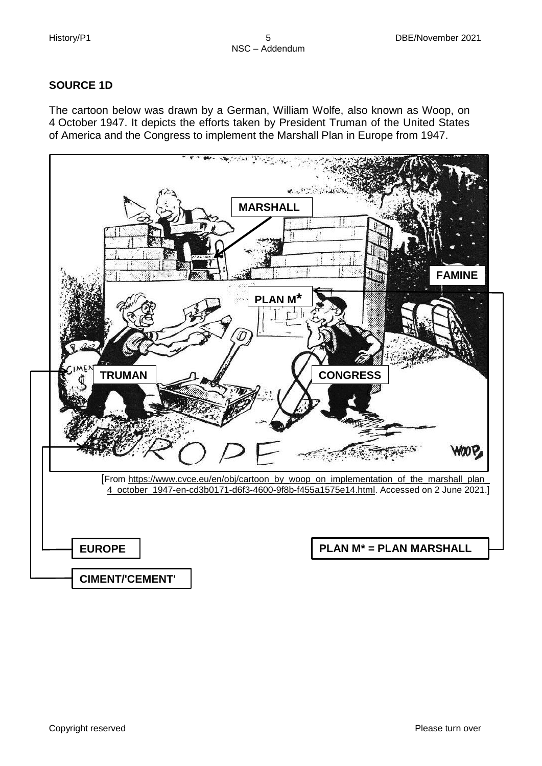### **SOURCE 1D**

The cartoon below was drawn by a German, William Wolfe, also known as Woop, on 4 October 1947. It depicts the efforts taken by President Truman of the United States of America and the Congress to implement the Marshall Plan in Europe from 1947.

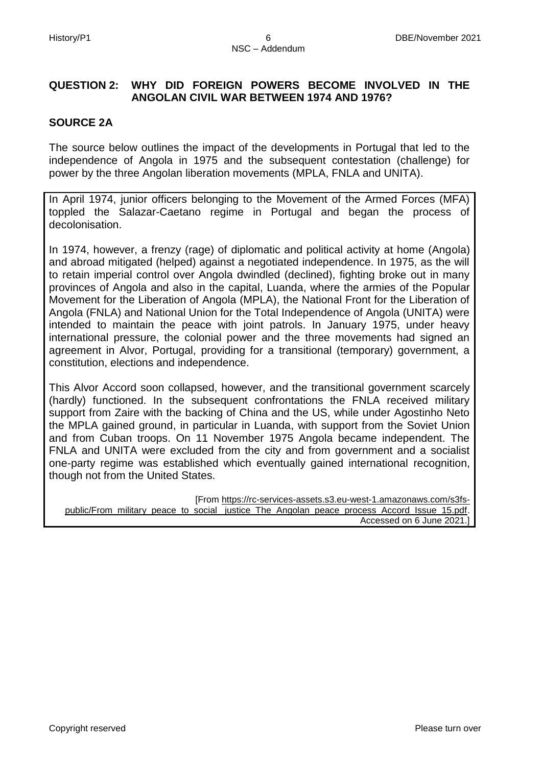# **QUESTION 2: WHY DID FOREIGN POWERS BECOME INVOLVED IN THE ANGOLAN CIVIL WAR BETWEEN 1974 AND 1976?**

#### **SOURCE 2A**

The source below outlines the impact of the developments in Portugal that led to the independence of Angola in 1975 and the subsequent contestation (challenge) for power by the three Angolan liberation movements (MPLA, FNLA and UNITA).

In April 1974, junior officers belonging to the Movement of the Armed Forces (MFA) toppled the Salazar-Caetano regime in Portugal and began the process of decolonisation.

In 1974, however, a frenzy (rage) of diplomatic and political activity at home (Angola) and abroad mitigated (helped) against a negotiated independence. In 1975, as the will to retain imperial control over Angola dwindled (declined), fighting broke out in many provinces of Angola and also in the capital, Luanda, where the armies of the Popular Movement for the Liberation of Angola (MPLA), the National Front for the Liberation of Angola (FNLA) and National Union for the Total Independence of Angola (UNITA) were intended to maintain the peace with joint patrols. In January 1975, under heavy international pressure, the colonial power and the three movements had signed an agreement in Alvor, Portugal, providing for a transitional (temporary) government, a constitution, elections and independence.

This Alvor Accord soon collapsed, however, and the transitional government scarcely (hardly) functioned. In the subsequent confrontations the FNLA received military support from Zaire with the backing of China and the US, while under Agostinho Neto the MPLA gained ground, in particular in Luanda, with support from the Soviet Union and from Cuban troops. On 11 November 1975 Angola became independent. The FNLA and UNITA were excluded from the city and from government and a socialist one-party regime was established which eventually gained international recognition, though not from the United States.

[From [https://rc-services-assets.s3.eu-west-1.amazonaws.com/s3fs-](https://rc-services-assets.s3.eu-west-1.amazonaws.com/s3fs-public/From_military_peace_to_social%20_justice_The_Angolan_peace_process_Accord_Issue_15.pdf)

[public/From\\_military\\_peace\\_to\\_social \\_justice\\_The\\_Angolan\\_peace\\_process\\_Accord\\_Issue\\_15.pdf.](https://rc-services-assets.s3.eu-west-1.amazonaws.com/s3fs-public/From_military_peace_to_social%20_justice_The_Angolan_peace_process_Accord_Issue_15.pdf) Accessed on 6 June 2021.]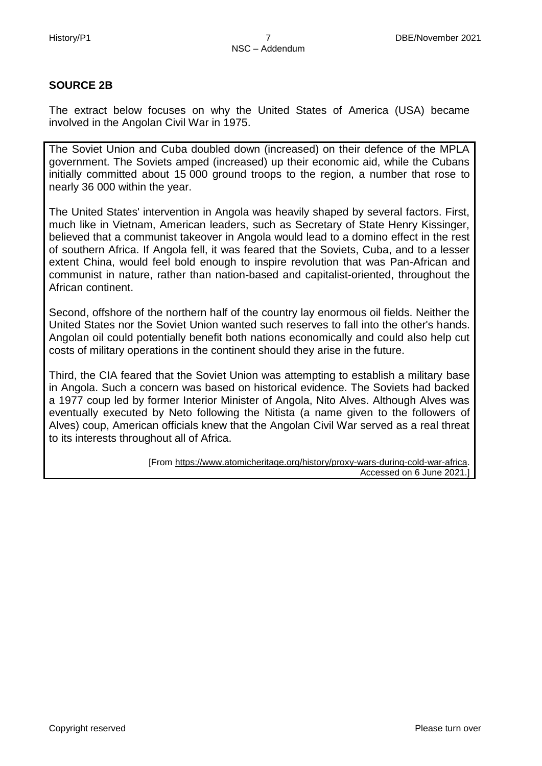#### **SOURCE 2B**

The extract below focuses on why the United States of America (USA) became involved in the Angolan Civil War in 1975.

The Soviet Union and Cuba doubled down (increased) on their defence of the MPLA government. The Soviets amped (increased) up their economic aid, while the Cubans initially committed about 15 000 ground troops to the region, a number that rose to nearly 36 000 within the year.

The United States' intervention in Angola was heavily shaped by several factors. First, much like in Vietnam, American leaders, such as Secretary of State Henry Kissinger, believed that a communist takeover in Angola would lead to a domino effect in the rest of southern Africa. If Angola fell, it was feared that the Soviets, Cuba, and to a lesser extent China, would feel bold enough to inspire revolution that was Pan-African and communist in nature, rather than nation-based and capitalist-oriented, throughout the African continent.

Second, offshore of the northern half of the country lay enormous oil fields. Neither the United States nor the Soviet Union wanted such reserves to fall into the other's hands. Angolan oil could potentially benefit both nations economically and could also help cut costs of military operations in the continent should they arise in the future.

Third, the CIA feared that the Soviet Union was attempting to establish a military base in Angola. Such a concern was based on historical evidence. The Soviets had backed a 1977 coup led by former Interior Minister of Angola, Nito Alves. Although Alves was eventually executed by Neto following the Nitista (a name given to the followers of Alves) coup, American officials knew that the Angolan Civil War served as a real threat to its interests throughout all of Africa.

> [From [https://www.atomicheritage.org/history/proxy-wars-during-cold-war-africa.](https://www.atomicheritage.org/history/proxy-wars-during-cold-war-africa) Accessed on 6 June 2021.]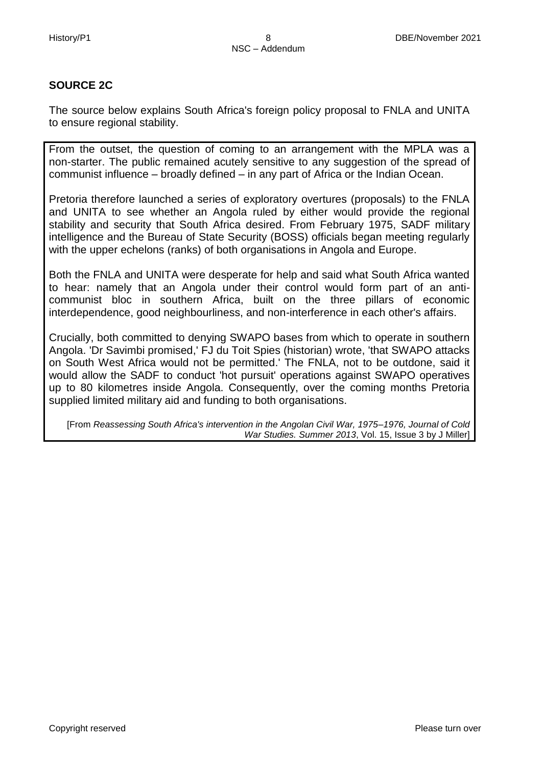# **SOURCE 2C**

The source below explains South Africa's foreign policy proposal to FNLA and UNITA to ensure regional stability.

From the outset, the question of coming to an arrangement with the MPLA was a non-starter. The public remained acutely sensitive to any suggestion of the spread of communist influence – broadly defined – in any part of Africa or the Indian Ocean.

Pretoria therefore launched a series of exploratory overtures (proposals) to the FNLA and UNITA to see whether an Angola ruled by either would provide the regional stability and security that South Africa desired. From February 1975, SADF military intelligence and the Bureau of State Security (BOSS) officials began meeting regularly with the upper echelons (ranks) of both organisations in Angola and Europe.

Both the FNLA and UNITA were desperate for help and said what South Africa wanted to hear: namely that an Angola under their control would form part of an anticommunist bloc in southern Africa, built on the three pillars of economic interdependence, good neighbourliness, and non-interference in each other's affairs.

Crucially, both committed to denying SWAPO bases from which to operate in southern Angola. 'Dr Savimbi promised,' FJ du Toit Spies (historian) wrote, 'that SWAPO attacks on South West Africa would not be permitted.' The FNLA, not to be outdone, said it would allow the SADF to conduct 'hot pursuit' operations against SWAPO operatives up to 80 kilometres inside Angola. Consequently, over the coming months Pretoria supplied limited military aid and funding to both organisations.

[From *Reassessing South Africa's intervention in the Angolan Civil War, 1975–1976, Journal of Cold War Studies. Summer 2013*, Vol. 15, Issue 3 by J Miller]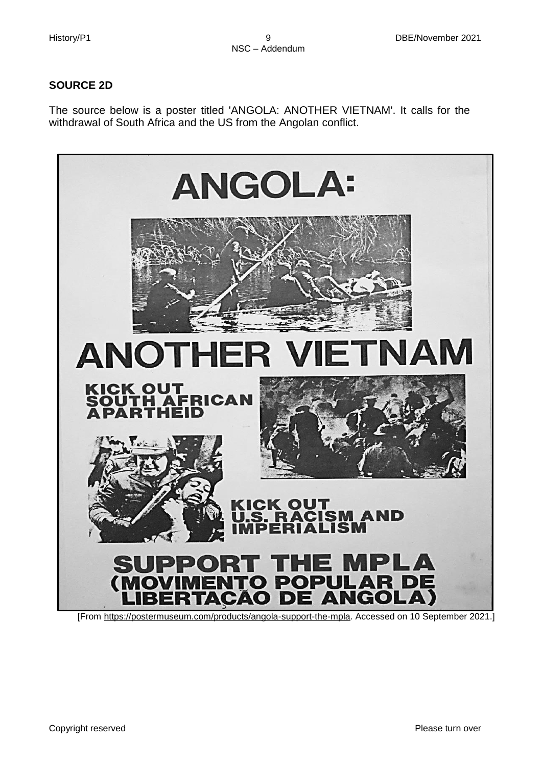### **SOURCE 2D**

The source below is a poster titled 'ANGOLA: ANOTHER VIETNAM'. It calls for the withdrawal of South Africa and the US from the Angolan conflict.

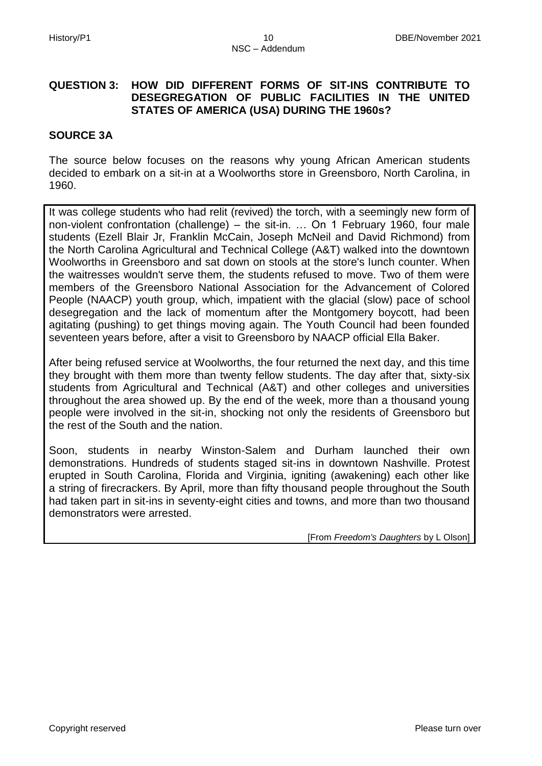#### **QUESTION 3: HOW DID DIFFERENT FORMS OF SIT-INS CONTRIBUTE TO DESEGREGATION OF PUBLIC FACILITIES IN THE UNITED STATES OF AMERICA (USA) DURING THE 1960s?**

#### **SOURCE 3A**

The source below focuses on the reasons why young African American students decided to embark on a sit-in at a Woolworths store in Greensboro, North Carolina, in 1960.

It was college students who had relit (revived) the torch, with a seemingly new form of non-violent confrontation (challenge) – the sit-in. … On 1 February 1960, four male students (Ezell Blair Jr, Franklin McCain, Joseph McNeil and David Richmond) from the North Carolina Agricultural and Technical College (A&T) walked into the downtown Woolworths in Greensboro and sat down on stools at the store's lunch counter. When the waitresses wouldn't serve them, the students refused to move. Two of them were members of the Greensboro National Association for the Advancement of Colored People (NAACP) youth group, which, impatient with the glacial (slow) pace of school desegregation and the lack of momentum after the Montgomery boycott, had been agitating (pushing) to get things moving again. The Youth Council had been founded seventeen years before, after a visit to Greensboro by NAACP official Ella Baker.

After being refused service at Woolworths, the four returned the next day, and this time they brought with them more than twenty fellow students. The day after that, sixty-six students from Agricultural and Technical (A&T) and other colleges and universities throughout the area showed up. By the end of the week, more than a thousand young people were involved in the sit-in, shocking not only the residents of Greensboro but the rest of the South and the nation.

Soon, students in nearby Winston-Salem and Durham launched their own demonstrations. Hundreds of students staged sit-ins in downtown Nashville. Protest erupted in South Carolina, Florida and Virginia, igniting (awakening) each other like a string of firecrackers. By April, more than fifty thousand people throughout the South had taken part in sit-ins in seventy-eight cities and towns, and more than two thousand demonstrators were arrested.

[From *Freedom's Daughters* by L Olson]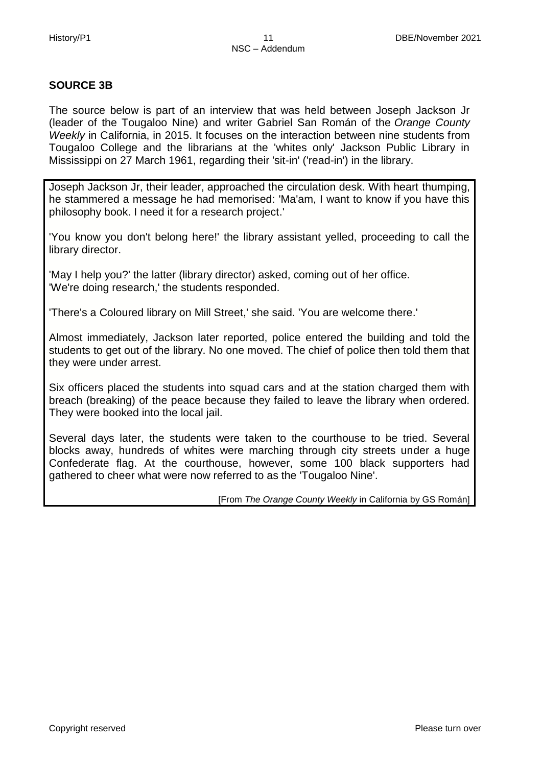# **SOURCE 3B**

The source below is part of an interview that was held between Joseph Jackson Jr (leader of the Tougaloo Nine) and writer Gabriel San Román of the *Orange County Weekly* in California, in 2015. It focuses on the interaction between nine students from Tougaloo College and the librarians at the 'whites only' Jackson Public Library in Mississippi on 27 March 1961, regarding their 'sit-in' ('read-in') in the library.

Joseph Jackson Jr, their leader, approached the circulation desk. With heart thumping, he stammered a message he had memorised: 'Ma'am, I want to know if you have this philosophy book. I need it for a research project.'

'You know you don't belong here!' the library assistant yelled, proceeding to call the library director.

'May I help you?' the latter (library director) asked, coming out of her office. 'We're doing research,' the students responded.

'There's a Coloured library on Mill Street,' she said. 'You are welcome there.'

Almost immediately, Jackson later reported, police entered the building and told the students to get out of the library. No one moved. The chief of police then told them that they were under arrest.

Six officers placed the students into squad cars and at the station charged them with breach (breaking) of the peace because they failed to leave the library when ordered. They were booked into the local jail.

Several days later, the students were taken to the courthouse to be tried. Several blocks away, hundreds of whites were marching through city streets under a huge Confederate flag. At the courthouse, however, some 100 black supporters had gathered to cheer what were now referred to as the 'Tougaloo Nine'.

[From *The Orange County Weekly* in California by GS Román]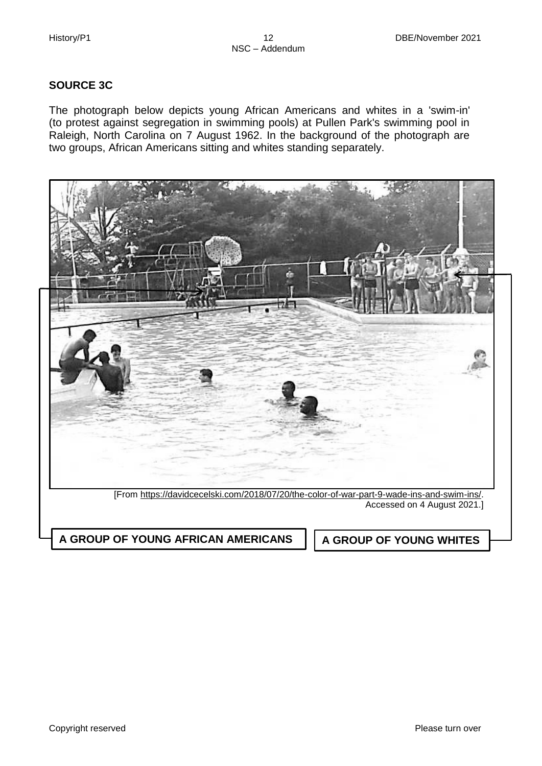#### **SOURCE 3C**

The photograph below depicts young African Americans and whites in a 'swim-in' (to protest against segregation in swimming pools) at Pullen Park's swimming pool in Raleigh, North Carolina on 7 August 1962. In the background of the photograph are two groups, African Americans sitting and whites standing separately.

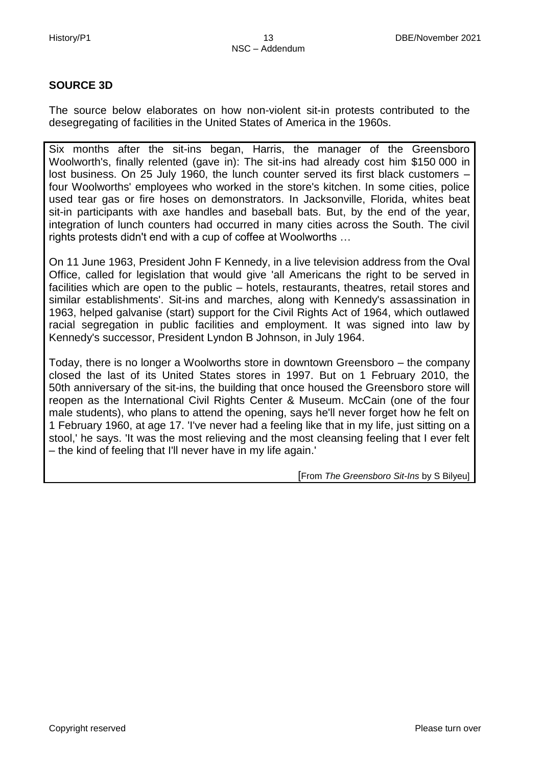#### **SOURCE 3D**

The source below elaborates on how non-violent sit-in protests contributed to the desegregating of facilities in the United States of America in the 1960s.

Six months after the sit-ins began, Harris, the manager of the Greensboro Woolworth's, finally relented (gave in): The sit-ins had already cost him \$150 000 in lost business. On 25 July 1960, the lunch counter served its first black customers – four Woolworths' employees who worked in the store's kitchen. In some cities, police used tear gas or fire hoses on demonstrators. In Jacksonville, Florida, whites beat sit-in participants with axe handles and baseball bats. But, by the end of the year, integration of lunch counters had occurred in many cities across the South. The civil rights protests didn't end with a cup of coffee at Woolworths …

On 11 June 1963, President John F Kennedy, in a live television address from the Oval Office, called for legislation that would give 'all Americans the right to be served in facilities which are open to the public – hotels, restaurants, theatres, retail stores and similar establishments'. Sit-ins and marches, along with Kennedy's assassination in 1963, helped galvanise (start) support for the Civil Rights Act of 1964, which outlawed racial segregation in public facilities and employment. It was signed into law by Kennedy's successor, President Lyndon B Johnson, in July 1964.

Today, there is no longer a Woolworths store in downtown Greensboro – the company closed the last of its United States stores in 1997. But on 1 February 2010, the 50th anniversary of the sit-ins, the building that once housed the Greensboro store will reopen as the International Civil Rights Center & Museum. McCain (one of the four male students), who plans to attend the opening, says he'll never forget how he felt on 1 February 1960, at age 17. 'I've never had a feeling like that in my life, just sitting on a stool,' he says. 'It was the most relieving and the most cleansing feeling that I ever felt – the kind of feeling that I'll never have in my life again.'

[From *The Greensboro Sit-Ins* by S Bilyeu]